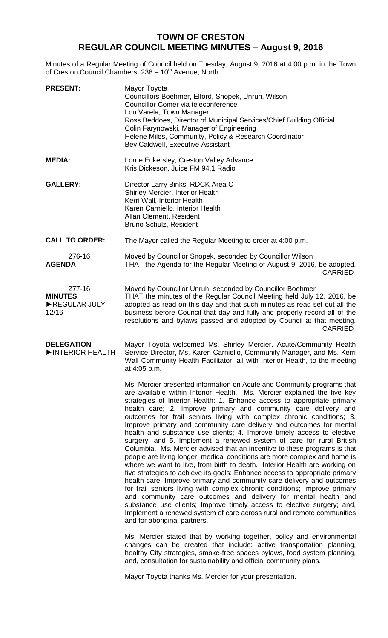## **TOWN OF CRESTON REGULAR COUNCIL MEETING MINUTES – August 9, 2016**

Minutes of a Regular Meeting of Council held on Tuesday, August 9, 2016 at 4:00 p.m. in the Town of Creston Council Chambers, 238 - 10<sup>th</sup> Avenue, North.

| <b>PRESENT:</b>                                   | Mayor Toyota<br>Councillors Boehmer, Elford, Snopek, Unruh, Wilson<br>Councillor Comer via teleconference<br>Lou Varela, Town Manager<br>Ross Beddoes, Director of Municipal Services/Chief Building Official<br>Colin Farynowski, Manager of Engineering<br>Helene Miles, Community, Policy & Research Coordinator<br>Bev Caldwell, Executive Assistant                                                                                                                                                                                                                                                                                                                                                                                                                                                                                                                                                                                                                                                                                                                                                                                                                                                                                                                                                                              |
|---------------------------------------------------|---------------------------------------------------------------------------------------------------------------------------------------------------------------------------------------------------------------------------------------------------------------------------------------------------------------------------------------------------------------------------------------------------------------------------------------------------------------------------------------------------------------------------------------------------------------------------------------------------------------------------------------------------------------------------------------------------------------------------------------------------------------------------------------------------------------------------------------------------------------------------------------------------------------------------------------------------------------------------------------------------------------------------------------------------------------------------------------------------------------------------------------------------------------------------------------------------------------------------------------------------------------------------------------------------------------------------------------|
| <b>MEDIA:</b>                                     | Lorne Eckersley, Creston Valley Advance<br>Kris Dickeson, Juice FM 94.1 Radio                                                                                                                                                                                                                                                                                                                                                                                                                                                                                                                                                                                                                                                                                                                                                                                                                                                                                                                                                                                                                                                                                                                                                                                                                                                         |
| <b>GALLERY:</b>                                   | Director Larry Binks, RDCK Area C<br>Shirley Mercier, Interior Health<br>Kerri Wall, Interior Health<br>Karen Carniello, Interior Health<br>Allan Clement, Resident<br>Bruno Schulz, Resident                                                                                                                                                                                                                                                                                                                                                                                                                                                                                                                                                                                                                                                                                                                                                                                                                                                                                                                                                                                                                                                                                                                                         |
| <b>CALL TO ORDER:</b>                             | The Mayor called the Regular Meeting to order at 4:00 p.m.                                                                                                                                                                                                                                                                                                                                                                                                                                                                                                                                                                                                                                                                                                                                                                                                                                                                                                                                                                                                                                                                                                                                                                                                                                                                            |
| 276-16<br><b>AGENDA</b>                           | Moved by Councillor Snopek, seconded by Councillor Wilson<br>THAT the Agenda for the Regular Meeting of August 9, 2016, be adopted.<br><b>CARRIED</b>                                                                                                                                                                                                                                                                                                                                                                                                                                                                                                                                                                                                                                                                                                                                                                                                                                                                                                                                                                                                                                                                                                                                                                                 |
| 277-16<br><b>MINUTES</b><br>REGULAR JULY<br>12/16 | Moved by Councillor Unruh, seconded by Councillor Boehmer<br>THAT the minutes of the Regular Council Meeting held July 12, 2016, be<br>adopted as read on this day and that such minutes as read set out all the<br>business before Council that day and fully and properly record all of the<br>resolutions and bylaws passed and adopted by Council at that meeting.<br><b>CARRIED</b>                                                                                                                                                                                                                                                                                                                                                                                                                                                                                                                                                                                                                                                                                                                                                                                                                                                                                                                                              |
| <b>DELEGATION</b><br>INTERIOR HEALTH              | Mayor Toyota welcomed Ms. Shirley Mercier, Acute/Community Health<br>Service Director, Ms. Karen Carniello, Community Manager, and Ms. Kerri<br>Wall Community Health Facilitator, all with Interior Health, to the meeting<br>at 4:05 p.m.                                                                                                                                                                                                                                                                                                                                                                                                                                                                                                                                                                                                                                                                                                                                                                                                                                                                                                                                                                                                                                                                                           |
|                                                   | Ms. Mercier presented information on Acute and Community programs that<br>are available within Interior Health. Ms. Mercier explained the five key<br>strategies of Interior Health: 1. Enhance access to appropriate primary<br>health care; 2. Improve primary and community care delivery and<br>outcomes for frail seniors living with complex chronic conditions; 3.<br>Improve primary and community care delivery and outcomes for mental<br>health and substance use clients; 4. Improve timely access to elective<br>surgery; and 5. Implement a renewed system of care for rural British<br>Columbia. Ms. Mercier advised that an incentive to these programs is that<br>people are living longer, medical conditions are more complex and home is<br>where we want to live, from birth to death. Interior Health are working on<br>five strategies to achieve its goals: Enhance access to appropriate primary<br>health care; Improve primary and community care delivery and outcomes<br>for frail seniors living with complex chronic conditions; Improve primary<br>and community care outcomes and delivery for mental health and<br>substance use clients; Improve timely access to elective surgery; and,<br>Implement a renewed system of care across rural and remote communities<br>and for aboriginal partners. |
|                                                   | Ms. Mercier stated that by working together, policy and environmental<br>changes can be created that include: active transportation planning,<br>healthy City strategies, smoke-free spaces bylaws, food system planning,<br>and, consultation for sustainability and official community plans.                                                                                                                                                                                                                                                                                                                                                                                                                                                                                                                                                                                                                                                                                                                                                                                                                                                                                                                                                                                                                                       |

Mayor Toyota thanks Ms. Mercier for your presentation.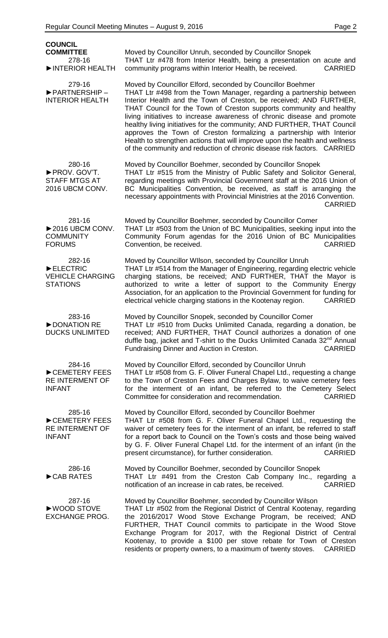| <b>COUNCIL</b><br><b>COMMITTEE</b><br>278-16<br>INTERIOR HEALTH                      | Moved by Councillor Unruh, seconded by Councillor Snopek<br>THAT Ltr #478 from Interior Health, being a presentation on acute and<br>community programs within Interior Health, be received.<br><b>CARRIED</b>                                                                                                                                                                                                                                                                                                                                                                                                                                                          |
|--------------------------------------------------------------------------------------|-------------------------------------------------------------------------------------------------------------------------------------------------------------------------------------------------------------------------------------------------------------------------------------------------------------------------------------------------------------------------------------------------------------------------------------------------------------------------------------------------------------------------------------------------------------------------------------------------------------------------------------------------------------------------|
| 279-16<br>PARTNERSHIP-<br><b>INTERIOR HEALTH</b>                                     | Moved by Councillor Elford, seconded by Councillor Boehmer<br>THAT Ltr #498 from the Town Manager, regarding a partnership between<br>Interior Health and the Town of Creston, be received; AND FURTHER,<br>THAT Council for the Town of Creston supports community and healthy<br>living initiatives to increase awareness of chronic disease and promote<br>healthy living initiatives for the community; AND FURTHER, THAT Council<br>approves the Town of Creston formalizing a partnership with Interior<br>Health to strengthen actions that will improve upon the health and wellness<br>of the community and reduction of chronic disease risk factors. CARRIED |
| 280-16<br>PROV. GOV'T.<br><b>STAFF MTGS AT</b><br>2016 UBCM CONV.                    | Moved by Councillor Boehmer, seconded by Councillor Snopek<br>THAT Ltr #515 from the Ministry of Public Safety and Solicitor General,<br>regarding meetings with Provincial Government staff at the 2016 Union of<br>BC Municipalities Convention, be received, as staff is arranging the<br>necessary appointments with Provincial Ministries at the 2016 Convention.<br><b>CARRIED</b>                                                                                                                                                                                                                                                                                |
| 281-16<br>$\blacktriangleright$ 2016 UBCM CONV.<br><b>COMMUNITY</b><br><b>FORUMS</b> | Moved by Councillor Boehmer, seconded by Councillor Comer<br>THAT Ltr #503 from the Union of BC Municipalities, seeking input into the<br>Community Forum agendas for the 2016 Union of BC Municipalities<br>Convention, be received.<br><b>CARRIED</b>                                                                                                                                                                                                                                                                                                                                                                                                                 |
| 282-16<br>ELECTRIC<br><b>VEHICLE CHARGING</b><br><b>STATIONS</b>                     | Moved by Councillor WIIson, seconded by Councillor Unruh<br>THAT Ltr #514 from the Manager of Engineering, regarding electric vehicle<br>charging stations, be received; AND FURTHER, THAT the Mayor is<br>authorized to write a letter of support to the Community Energy<br>Association, for an application to the Provincial Government for funding for<br>electrical vehicle charging stations in the Kootenay region.<br><b>CARRIED</b>                                                                                                                                                                                                                            |
| 283-16<br>DONATION RE<br><b>DUCKS UNLIMITED</b>                                      | Moved by Councillor Snopek, seconded by Councillor Comer<br>THAT Ltr #510 from Ducks Unlimited Canada, regarding a donation, be<br>received; AND FURTHER, THAT Council authorizes a donation of one<br>duffle bag, jacket and T-shirt to the Ducks Unlimited Canada 32 <sup>nd</sup> Annual<br>Fundraising Dinner and Auction in Creston.<br><b>CARRIED</b>                                                                                                                                                                                                                                                                                                             |
| 284-16<br>CEMETERY FEES<br><b>RE INTERMENT OF</b><br><b>INFANT</b>                   | Moved by Councillor Elford, seconded by Councillor Unruh<br>THAT Ltr #508 from G. F. Oliver Funeral Chapel Ltd., requesting a change<br>to the Town of Creston Fees and Charges Bylaw, to waive cemetery fees<br>for the interment of an infant, be referred to the Cemetery Select<br>Committee for consideration and recommendation.<br><b>CARRIED</b>                                                                                                                                                                                                                                                                                                                |
| 285-16<br>CEMETERY FEES<br><b>RE INTERMENT OF</b><br><b>INFANT</b>                   | Moved by Councillor Elford, seconded by Councillor Boehmer<br>THAT Ltr #508 from G. F. Oliver Funeral Chapel Ltd., requesting the<br>waiver of cemetery fees for the interment of an infant, be referred to staff<br>for a report back to Council on the Town's costs and those being waived<br>by G. F. Oliver Funeral Chapel Ltd. for the interment of an infant (in the<br>present circumstance), for further consideration.<br><b>CARRIED</b>                                                                                                                                                                                                                       |
| 286-16<br>CAB RATES                                                                  | Moved by Councillor Boehmer, seconded by Councillor Snopek<br>THAT Ltr #491 from the Creston Cab Company Inc., regarding a<br>notification of an increase in cab rates, be received.<br><b>CARRIED</b>                                                                                                                                                                                                                                                                                                                                                                                                                                                                  |
| 287-16<br>▶WOOD STOVE<br><b>EXCHANGE PROG.</b>                                       | Moved by Councillor Boehmer, seconded by Councillor Wilson<br>THAT Ltr #502 from the Regional District of Central Kootenay, regarding<br>the 2016/2017 Wood Stove Exchange Program, be received; AND<br>FURTHER, THAT Council commits to participate in the Wood Stove<br>Exchange Program for 2017, with the Regional District of Central<br>Kootenay, to provide a \$100 per stove rebate for Town of Creston<br>residents or property owners, to a maximum of twenty stoves.<br><b>CARRIED</b>                                                                                                                                                                       |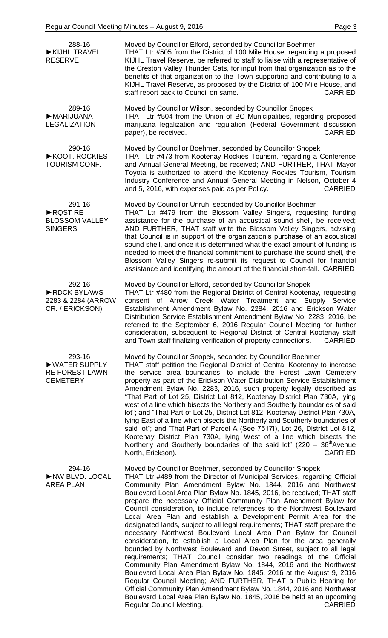| 288-16<br>KIJHL TRAVEL<br><b>RESERVE</b>                             | Moved by Councillor Elford, seconded by Councillor Boehmer<br>THAT Ltr #505 from the District of 100 Mile House, regarding a proposed<br>KIJHL Travel Reserve, be referred to staff to liaise with a representative of<br>the Creston Valley Thunder Cats, for input from that organization as to the<br>benefits of that organization to the Town supporting and contributing to a<br>KIJHL Travel Reserve, as proposed by the District of 100 Mile House, and<br>staff report back to Council on same.<br><b>CARRIED</b>                                                                                                                                                                                                                                                                                                                                                                                                                                                                                                                                                                                                                                                                                                                                                               |
|----------------------------------------------------------------------|------------------------------------------------------------------------------------------------------------------------------------------------------------------------------------------------------------------------------------------------------------------------------------------------------------------------------------------------------------------------------------------------------------------------------------------------------------------------------------------------------------------------------------------------------------------------------------------------------------------------------------------------------------------------------------------------------------------------------------------------------------------------------------------------------------------------------------------------------------------------------------------------------------------------------------------------------------------------------------------------------------------------------------------------------------------------------------------------------------------------------------------------------------------------------------------------------------------------------------------------------------------------------------------|
| 289-16<br>MARIJUANA<br><b>LEGALIZATION</b>                           | Moved by Councillor Wilson, seconded by Councillor Snopek<br>THAT Ltr #504 from the Union of BC Municipalities, regarding proposed<br>marijuana legalization and regulation (Federal Government discussion<br><b>CARRIED</b><br>paper), be received.                                                                                                                                                                                                                                                                                                                                                                                                                                                                                                                                                                                                                                                                                                                                                                                                                                                                                                                                                                                                                                     |
| 290-16<br>▶ KOOT. ROCKIES<br>TOURISM CONF.                           | Moved by Councillor Boehmer, seconded by Councillor Snopek<br>THAT Ltr #473 from Kootenay Rockies Tourism, regarding a Conference<br>and Annual General Meeting, be received; AND FURTHER, THAT Mayor<br>Toyota is authorized to attend the Kootenay Rockies Tourism, Tourism<br>Industry Conference and Annual General Meeting in Nelson, October 4<br>and 5, 2016, with expenses paid as per Policy.<br><b>CARRIED</b>                                                                                                                                                                                                                                                                                                                                                                                                                                                                                                                                                                                                                                                                                                                                                                                                                                                                 |
| 291-16<br>RQST RE<br><b>BLOSSOM VALLEY</b><br><b>SINGERS</b>         | Moved by Councillor Unruh, seconded by Councillor Boehmer<br>THAT Ltr #479 from the Blossom Valley Singers, requesting funding<br>assistance for the purchase of an acoustical sound shell, be received;<br>AND FURTHER, THAT staff write the Blossom Valley Singers, advising<br>that Council is in support of the organization's purchase of an acoustical<br>sound shell, and once it is determined what the exact amount of funding is<br>needed to meet the financial commitment to purchase the sound shell, the<br>Blossom Valley Singers re-submit its request to Council for financial<br>assistance and identifying the amount of the financial short-fall. CARRIED                                                                                                                                                                                                                                                                                                                                                                                                                                                                                                                                                                                                            |
| 292-16<br>RDCK BYLAWS<br>2283 & 2284 (ARROW<br>CR. / ERICKSON)       | Moved by Councillor Elford, seconded by Councillor Snopek<br>THAT Ltr #480 from the Regional District of Central Kootenay, requesting<br>consent of Arrow Creek Water Treatment and Supply Service<br>Establishment Amendment Bylaw No. 2284, 2016 and Erickson Water<br>Distribution Service Establishment Amendment Bylaw No. 2283, 2016, be<br>referred to the September 6, 2016 Regular Council Meeting for further<br>consideration, subsequent to Regional District of Central Kootenay staff<br>and Town staff finalizing verification of property connections.<br><b>CARRIED</b>                                                                                                                                                                                                                                                                                                                                                                                                                                                                                                                                                                                                                                                                                                 |
| 293-16<br>▶ WATER SUPPLY<br><b>RE FOREST LAWN</b><br><b>CEMETERY</b> | Moved by Councillor Snopek, seconded by Councillor Boehmer<br>THAT staff petition the Regional District of Central Kootenay to increase<br>the service area boundaries, to include the Forest Lawn Cemetery<br>property as part of the Erickson Water Distribution Service Establishment<br>Amendment Bylaw No. 2283, 2016, such property legally described as<br>"That Part of Lot 25, District Lot 812, Kootenay District Plan 730A, lying<br>west of a line which bisects the Northerly and Southerly boundaries of said<br>lot"; and "That Part of Lot 25, District Lot 812, Kootenay District Plan 730A,<br>lying East of a line which bisects the Northerly and Southerly boundaries of<br>said lot"; and 'That Part of Parcel A (See 7517I), Lot 26, District Lot 812,<br>Kootenay District Plan 730A, lying West of a line which bisects the<br>Northerly and Southerly boundaries of the said lot" (220 - $36th$ Avenue<br>North, Erickson).<br><b>CARRIED</b>                                                                                                                                                                                                                                                                                                                  |
| 294-16<br>NW BLVD. LOCAL<br><b>AREA PLAN</b>                         | Moved by Councillor Boehmer, seconded by Councillor Snopek<br>THAT Ltr #489 from the Director of Municipal Services, regarding Official<br>Community Plan Amendment Bylaw No. 1844, 2016 and Northwest<br>Boulevard Local Area Plan Bylaw No. 1845, 2016, be received; THAT staff<br>prepare the necessary Official Community Plan Amendment Bylaw for<br>Council consideration, to include references to the Northwest Boulevard<br>Local Area Plan and establish a Development Permit Area for the<br>designated lands, subject to all legal requirements; THAT staff prepare the<br>necessary Northwest Boulevard Local Area Plan Bylaw for Council<br>consideration, to establish a Local Area Plan for the area generally<br>bounded by Northwest Boulevard and Devon Street, subject to all legal<br>requirements; THAT Council consider two readings of the Official<br>Community Plan Amendment Bylaw No. 1844, 2016 and the Northwest<br>Boulevard Local Area Plan Bylaw No. 1845, 2016 at the August 9, 2016<br>Regular Council Meeting; AND FURTHER, THAT a Public Hearing for<br>Official Community Plan Amendment Bylaw No. 1844, 2016 and Northwest<br>Boulevard Local Area Plan Bylaw No. 1845, 2016 be held at an upcoming<br><b>CARRIED</b><br>Regular Council Meeting. |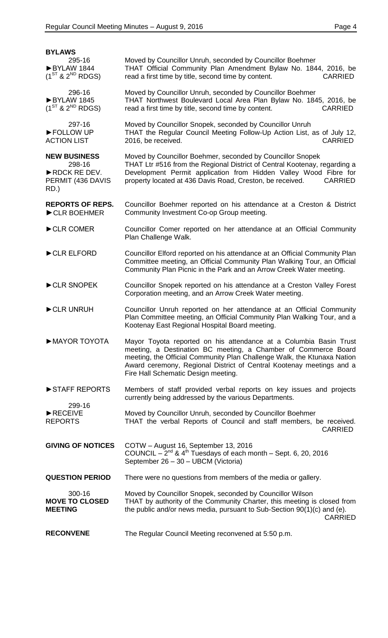| <b>BYLAWS</b>                                                              |                                                                                                                                                                                                                                                                                                                               |
|----------------------------------------------------------------------------|-------------------------------------------------------------------------------------------------------------------------------------------------------------------------------------------------------------------------------------------------------------------------------------------------------------------------------|
| 295-16<br>BYLAW 1844<br>$(1^{ST}$ & $2^{ND}$ RDGS)                         | Moved by Councillor Unruh, seconded by Councillor Boehmer<br>THAT Official Community Plan Amendment Bylaw No. 1844, 2016, be<br>read a first time by title, second time by content.<br><b>CARRIED</b>                                                                                                                         |
| 296-16<br>BYLAW 1845<br>$(1^{ST}$ & $2^{ND}$ RDGS)                         | Moved by Councillor Unruh, seconded by Councillor Boehmer<br>THAT Northwest Boulevard Local Area Plan Bylaw No. 1845, 2016, be<br>read a first time by title, second time by content.<br><b>CARRIED</b>                                                                                                                       |
| 297-16<br>FOLLOW UP<br><b>ACTION LIST</b>                                  | Moved by Councillor Snopek, seconded by Councillor Unruh<br>THAT the Regular Council Meeting Follow-Up Action List, as of July 12,<br>2016, be received.<br><b>CARRIED</b>                                                                                                                                                    |
| <b>NEW BUSINESS</b><br>298-16<br>RDCK RE DEV.<br>PERMIT (436 DAVIS<br>RD.) | Moved by Councillor Boehmer, seconded by Councillor Snopek<br>THAT Ltr #516 from the Regional District of Central Kootenay, regarding a<br>Development Permit application from Hidden Valley Wood Fibre for<br>property located at 436 Davis Road, Creston, be received.<br><b>CARRIED</b>                                    |
| <b>REPORTS OF REPS.</b><br>CLR BOEHMER                                     | Councillor Boehmer reported on his attendance at a Creston & District<br>Community Investment Co-op Group meeting.                                                                                                                                                                                                            |
| CLR COMER                                                                  | Councillor Comer reported on her attendance at an Official Community<br>Plan Challenge Walk.                                                                                                                                                                                                                                  |
| CLR ELFORD                                                                 | Councillor Elford reported on his attendance at an Official Community Plan<br>Committee meeting, an Official Community Plan Walking Tour, an Official<br>Community Plan Picnic in the Park and an Arrow Creek Water meeting.                                                                                                  |
| CLR SNOPEK                                                                 | Councillor Snopek reported on his attendance at a Creston Valley Forest<br>Corporation meeting, and an Arrow Creek Water meeting.                                                                                                                                                                                             |
| CLR UNRUH                                                                  | Councillor Unruh reported on her attendance at an Official Community<br>Plan Committee meeting, an Official Community Plan Walking Tour, and a<br>Kootenay East Regional Hospital Board meeting.                                                                                                                              |
| MAYOR TOYOTA                                                               | Mayor Toyota reported on his attendance at a Columbia Basin Trust<br>meeting, a Destination BC meeting, a Chamber of Commerce Board<br>meeting, the Official Community Plan Challenge Walk, the Ktunaxa Nation<br>Award ceremony, Regional District of Central Kootenay meetings and a<br>Fire Hall Schematic Design meeting. |
| STAFF REPORTS                                                              | Members of staff provided verbal reports on key issues and projects<br>currently being addressed by the various Departments.                                                                                                                                                                                                  |
| 299-16<br>$\blacktriangleright$ RECEIVE<br><b>REPORTS</b>                  | Moved by Councillor Unruh, seconded by Councillor Boehmer<br>THAT the verbal Reports of Council and staff members, be received.<br><b>CARRIED</b>                                                                                                                                                                             |
| <b>GIVING OF NOTICES</b>                                                   | COTW - August 16, September 13, 2016<br>COUNCIL $-2^{nd}$ & 4 <sup>th</sup> Tuesdays of each month $-$ Sept. 6, 20, 2016<br>September 26 - 30 - UBCM (Victoria)                                                                                                                                                               |
| <b>QUESTION PERIOD</b>                                                     | There were no questions from members of the media or gallery.                                                                                                                                                                                                                                                                 |
| 300-16<br><b>MOVE TO CLOSED</b><br><b>MEETING</b>                          | Moved by Councillor Snopek, seconded by Councillor Wilson<br>THAT by authority of the Community Charter, this meeting is closed from<br>the public and/or news media, pursuant to Sub-Section 90(1)(c) and (e).<br><b>CARRIED</b>                                                                                             |
| <b>RECONVENE</b>                                                           | The Regular Council Meeting reconvened at 5:50 p.m.                                                                                                                                                                                                                                                                           |